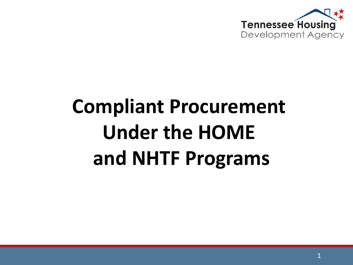

# **Compliant Procurement Under the HOME and NHTF Programs**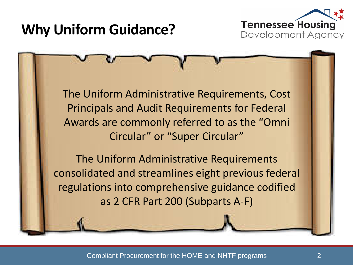# **Why Uniform Guidance?**



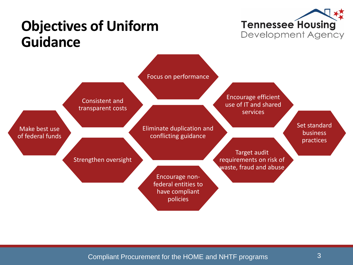

### **Objectives of Uniform Guidance**

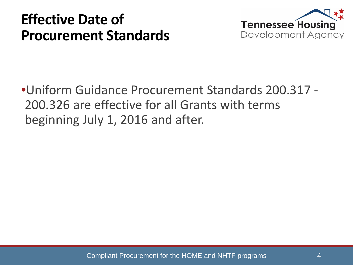### **Effective Date of Procurement Standards**



•Uniform Guidance Procurement Standards 200.317 - 200.326 are effective for all Grants with terms beginning July 1, 2016 and after.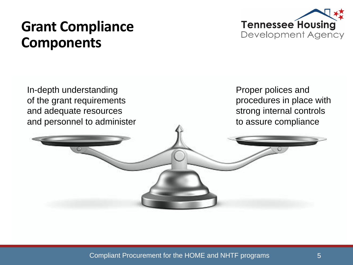### **Grant Compliance Components**





Compliant Procurement for the HOME and NHTF programs 5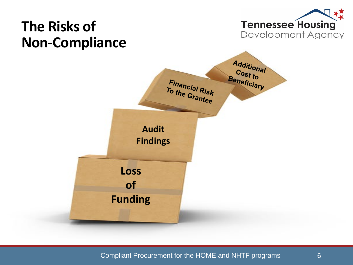

Compliant Procurement for the HOME and NHTF programs 6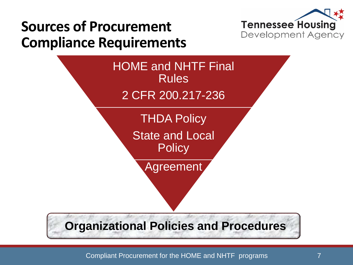

# **Sources of Procurement Compliance Requirements**

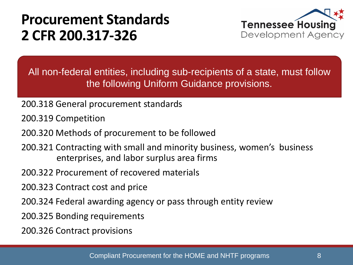### **Procurement Standards 2 CFR 200.317-326**



All non-federal entities, including sub-recipients of a state, must follow the following Uniform Guidance provisions.

- 200.318 General procurement standards
- 200.319 Competition
- 200.320 Methods of procurement to be followed
- 200.321 Contracting with small and minority business, women's business enterprises, and labor surplus area firms
- 200.322 Procurement of recovered materials
- 200.323 Contract cost and price
- 200.324 Federal awarding agency or pass through entity review
- 200.325 Bonding requirements
- 200.326 Contract provisions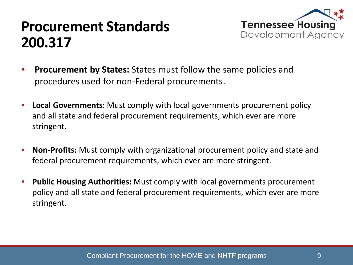### **Procurement Standards 200.317**



- **Procurement by States:** States must follow the same policies and procedures used for non-Federal procurements.
- **Local Governments**: Must comply with local governments procurement policy and all state and federal procurement requirements, which ever are more stringent.
- **Non-Profits:** Must comply with organizational procurement policy and state and federal procurement requirements, which ever are more stringent.
- **Public Housing Authorities:** Must comply with local governments procurement policy and all state and federal procurement requirements, which ever are more stringent.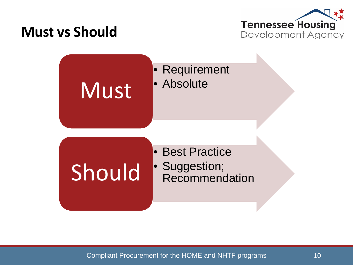### **Must vs Should**



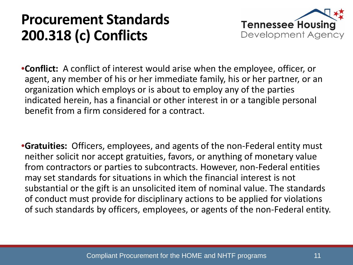### **Procurement Standards 200.318 (c) Conflicts**



- •**Conflict:** A conflict of interest would arise when the employee, officer, or agent, any member of his or her immediate family, his or her partner, or an organization which employs or is about to employ any of the parties indicated herein, has a financial or other interest in or a tangible personal benefit from a firm considered for a contract.
- •**Gratuities:** Officers, employees, and agents of the non-Federal entity must neither solicit nor accept gratuities, favors, or anything of monetary value from contractors or parties to subcontracts. However, non-Federal entities may set standards for situations in which the financial interest is not substantial or the gift is an unsolicited item of nominal value. The standards of conduct must provide for disciplinary actions to be applied for violations of such standards by officers, employees, or agents of the non-Federal entity.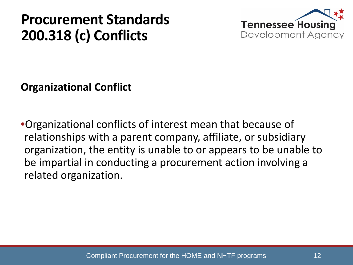### **Procurement Standards 200.318 (c) Conflicts**



**Organizational Conflict**

•Organizational conflicts of interest mean that because of relationships with a parent company, affiliate, or subsidiary organization, the entity is unable to or appears to be unable to be impartial in conducting a procurement action involving a related organization.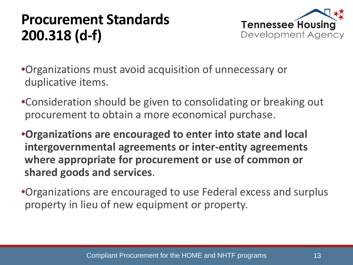# **Procurement Standards 200.318 (d-f)**



- •Organizations must avoid acquisition of unnecessary or duplicative items.
- •Consideration should be given to consolidating or breaking out procurement to obtain a more economical purchase.
- •**Organizations are encouraged to enter into state and local intergovernmental agreements or inter-entity agreements where appropriate for procurement or use of common or shared goods and services**.
- •Organizations are encouraged to use Federal excess and surplus property in lieu of new equipment or property.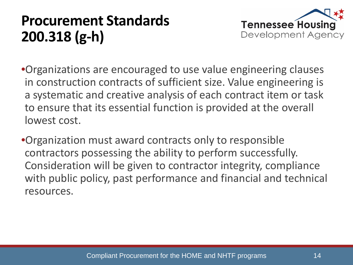# **Procurement Standards 200.318 (g-h)**



- •Organizations are encouraged to use value engineering clauses in construction contracts of sufficient size. Value engineering is a systematic and creative analysis of each contract item or task to ensure that its essential function is provided at the overall lowest cost.
- •Organization must award contracts only to responsible contractors possessing the ability to perform successfully. Consideration will be given to contractor integrity, compliance with public policy, past performance and financial and technical resources.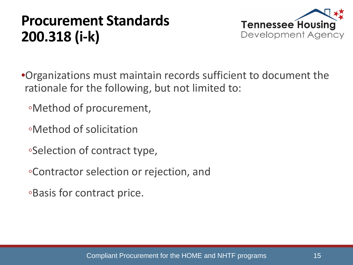### **Procurement Standards 200.318 (i-k)**



- •Organizations must maintain records sufficient to document the rationale for the following, but not limited to:
	- ◦Method of procurement,
	- ◦Method of solicitation
	- ◦Selection of contract type,
	- ◦Contractor selection or rejection, and
	- ◦Basis for contract price.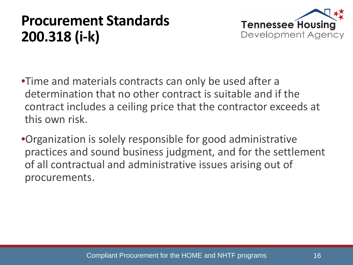### **Procurement Standards 200.318 (i-k)**



•Time and materials contracts can only be used after a determination that no other contract is suitable and if the contract includes a ceiling price that the contractor exceeds at this own risk.

•Organization is solely responsible for good administrative practices and sound business judgment, and for the settlement of all contractual and administrative issues arising out of procurements.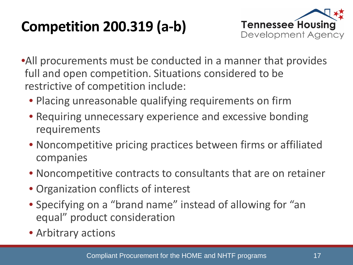# **Competition 200.319 (a-b)**



•All procurements must be conducted in a manner that provides full and open competition. Situations considered to be restrictive of competition include:

- Placing unreasonable qualifying requirements on firm
- Requiring unnecessary experience and excessive bonding requirements
- Noncompetitive pricing practices between firms or affiliated companies
- Noncompetitive contracts to consultants that are on retainer
- Organization conflicts of interest
- Specifying on a "brand name" instead of allowing for "an equal" product consideration
- Arbitrary actions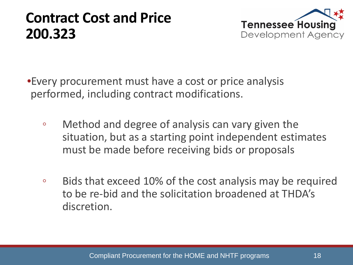### **Contract Cost and Price 200.323**



•Every procurement must have a cost or price analysis performed, including contract modifications.

- Method and degree of analysis can vary given the situation, but as a starting point independent estimates must be made before receiving bids or proposals
- Bids that exceed 10% of the cost analysis may be required to be re-bid and the solicitation broadened at THDA's discretion.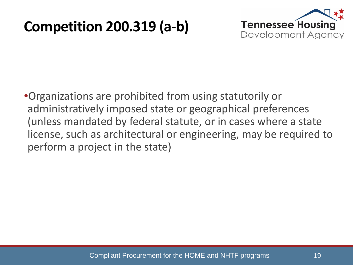### **Competition 200.319 (a-b)**



•Organizations are prohibited from using statutorily or administratively imposed state or geographical preferences (unless mandated by federal statute, or in cases where a state license, such as architectural or engineering, may be required to perform a project in the state)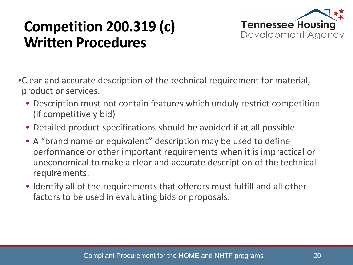# **Competition 200.319 (c) Written Procedures**



- •Clear and accurate description of the technical requirement for material, product or services.
	- Description must not contain features which unduly restrict competition (if competitively bid)
	- Detailed product specifications should be avoided if at all possible
	- A "brand name or equivalent" description may be used to define performance or other important requirements when it is impractical or uneconomical to make a clear and accurate description of the technical requirements.
	- Identify all of the requirements that offerors must fulfill and all other factors to be used in evaluating bids or proposals.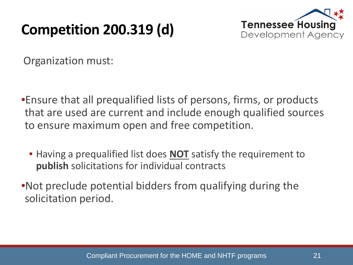# **Competition 200.319 (d)**



Organization must:

- •Ensure that all prequalified lists of persons, firms, or products that are used are current and include enough qualified sources to ensure maximum open and free competition.
	- Having a prequalified list does **NOT** satisfy the requirement to **publish** solicitations for individual contracts
- •Not preclude potential bidders from qualifying during the solicitation period.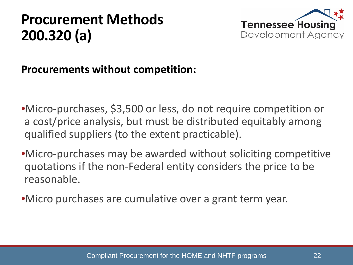

#### **Procurements without competition:**

- •Micro-purchases, \$3,500 or less, do not require competition or a cost/price analysis, but must be distributed equitably among qualified suppliers (to the extent practicable).
- •Micro-purchases may be awarded without soliciting competitive quotations if the non-Federal entity considers the price to be reasonable.
- •Micro purchases are cumulative over a grant term year.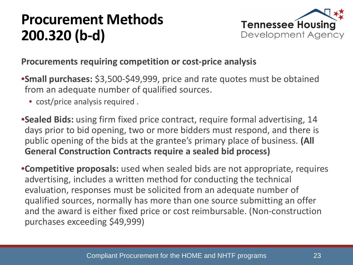

#### **Procurements requiring competition or cost-price analysis**

- •**Small purchases:** \$3,500-\$49,999, price and rate quotes must be obtained from an adequate number of qualified sources.
	- cost/price analysis required.
- •**Sealed Bids:** using firm fixed price contract, require formal advertising, 14 days prior to bid opening, two or more bidders must respond, and there is public opening of the bids at the grantee's primary place of business. **(All General Construction Contracts require a sealed bid process)**
- •**Competitive proposals:** used when sealed bids are not appropriate, requires advertising, includes a written method for conducting the technical evaluation, responses must be solicited from an adequate number of qualified sources, normally has more than one source submitting an offer and the award is either fixed price or cost reimbursable. (Non-construction purchases exceeding \$49,999)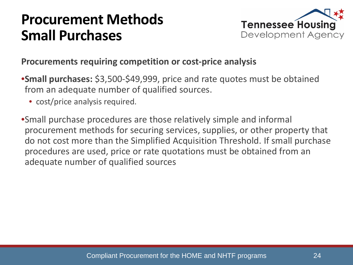### **Procurement Methods Small Purchases**



#### **Procurements requiring competition or cost-price analysis**

- •**Small purchases:** \$3,500-\$49,999, price and rate quotes must be obtained from an adequate number of qualified sources.
	- cost/price analysis required.
- •Small purchase procedures are those relatively simple and informal procurement methods for securing services, supplies, or other property that do not cost more than the Simplified Acquisition Threshold. If small purchase procedures are used, price or rate quotations must be obtained from an adequate number of qualified sources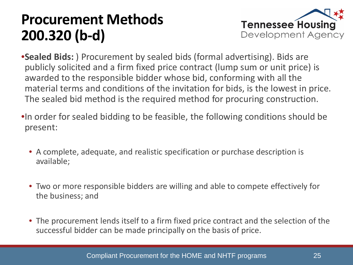

- •**Sealed Bids:** ) Procurement by sealed bids (formal advertising). Bids are publicly solicited and a firm fixed price contract (lump sum or unit price) is awarded to the responsible bidder whose bid, conforming with all the material terms and conditions of the invitation for bids, is the lowest in price. The sealed bid method is the required method for procuring construction.
- •In order for sealed bidding to be feasible, the following conditions should be present:
	- A complete, adequate, and realistic specification or purchase description is available;
	- Two or more responsible bidders are willing and able to compete effectively for the business; and
	- The procurement lends itself to a firm fixed price contract and the selection of the successful bidder can be made principally on the basis of price.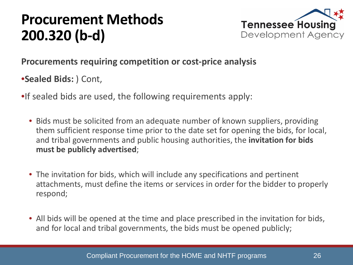

#### **Procurements requiring competition or cost-price analysis**

•**Sealed Bids:** ) Cont,

- •If sealed bids are used, the following requirements apply:
	- Bids must be solicited from an adequate number of known suppliers, providing them sufficient response time prior to the date set for opening the bids, for local, and tribal governments and public housing authorities, the **invitation for bids must be publicly advertised**;
	- The invitation for bids, which will include any specifications and pertinent attachments, must define the items or services in order for the bidder to properly respond;
	- All bids will be opened at the time and place prescribed in the invitation for bids, and for local and tribal governments, the bids must be opened publicly;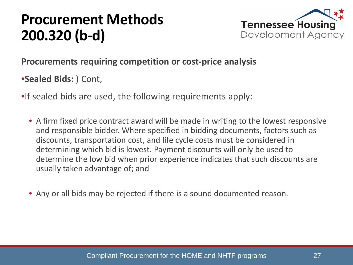

#### **Procurements requiring competition or cost-price analysis**

•**Sealed Bids:** ) Cont,

- •If sealed bids are used, the following requirements apply:
	- A firm fixed price contract award will be made in writing to the lowest responsive and responsible bidder. Where specified in bidding documents, factors such as discounts, transportation cost, and life cycle costs must be considered in determining which bid is lowest. Payment discounts will only be used to determine the low bid when prior experience indicates that such discounts are usually taken advantage of; and
	- Any or all bids may be rejected if there is a sound documented reason.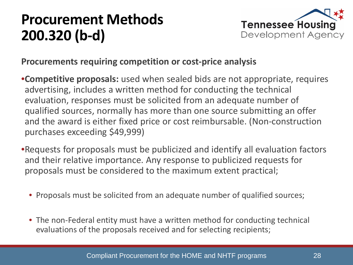

#### **Procurements requiring competition or cost-price analysis**

- •**Competitive proposals:** used when sealed bids are not appropriate, requires advertising, includes a written method for conducting the technical evaluation, responses must be solicited from an adequate number of qualified sources, normally has more than one source submitting an offer and the award is either fixed price or cost reimbursable. (Non-construction purchases exceeding \$49,999)
- •Requests for proposals must be publicized and identify all evaluation factors and their relative importance. Any response to publicized requests for proposals must be considered to the maximum extent practical;
	- Proposals must be solicited from an adequate number of qualified sources;
	- The non-Federal entity must have a written method for conducting technical evaluations of the proposals received and for selecting recipients;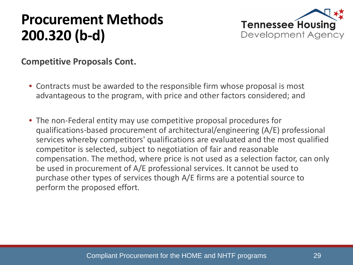

#### **Competitive Proposals Cont.**

- Contracts must be awarded to the responsible firm whose proposal is most advantageous to the program, with price and other factors considered; and
- The non-Federal entity may use competitive proposal procedures for qualifications-based procurement of architectural/engineering (A/E) professional services whereby competitors' qualifications are evaluated and the most qualified competitor is selected, subject to negotiation of fair and reasonable compensation. The method, where price is not used as a selection factor, can only be used in procurement of A/E professional services. It cannot be used to purchase other types of services though A/E firms are a potential source to perform the proposed effort.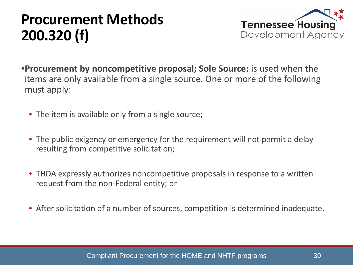

- •**Procurement by noncompetitive proposal; Sole Source:** is used when the items are only available from a single source. One or more of the following must apply:
	- The item is available only from a single source;
	- The public exigency or emergency for the requirement will not permit a delay resulting from competitive solicitation;
	- THDA expressly authorizes noncompetitive proposals in response to a written request from the non-Federal entity; or
	- After solicitation of a number of sources, competition is determined inadequate.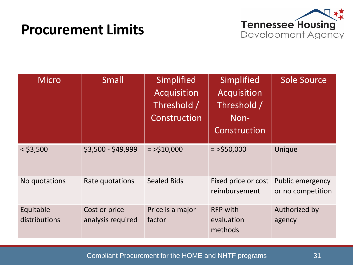### **Procurement Limits**



| <b>Micro</b>               | <b>Small</b>                       | Simplified<br><b>Acquisition</b><br>Threshold /<br>Construction | Simplified<br>Acquisition<br>Threshold /<br>Non-<br>Construction | <b>Sole Source</b>                    |
|----------------------------|------------------------------------|-----------------------------------------------------------------|------------------------------------------------------------------|---------------------------------------|
| $<$ \$3,500                | \$3,500 - \$49,999                 | $=$ >\$10,000                                                   | $=$ >\$50,000                                                    | Unique                                |
| No quotations              | Rate quotations                    | <b>Sealed Bids</b>                                              | Fixed price or cost<br>reimbursement                             | Public emergency<br>or no competition |
| Equitable<br>distributions | Cost or price<br>analysis required | Price is a major<br>factor                                      | <b>RFP with</b><br>evaluation<br>methods                         | Authorized by<br>agency               |

Compliant Procurement for the HOME and NHTF programs 31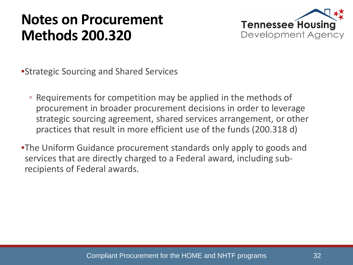### **Notes on Procurement Methods 200.320**



•Strategic Sourcing and Shared Services

- Requirements for competition may be applied in the methods of procurement in broader procurement decisions in order to leverage strategic sourcing agreement, shared services arrangement, or other practices that result in more efficient use of the funds (200.318 d)
- •The Uniform Guidance procurement standards only apply to goods and services that are directly charged to a Federal award, including subrecipients of Federal awards.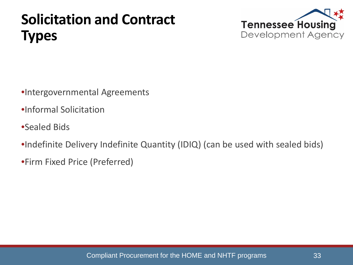# **Solicitation and Contract Types**



- •Intergovernmental Agreements
- •Informal Solicitation
- •Sealed Bids
- •Indefinite Delivery Indefinite Quantity (IDIQ) (can be used with sealed bids)
- •Firm Fixed Price (Preferred)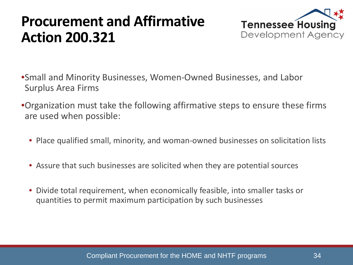### **Procurement and Affirmative Action 200.321**



•Small and Minority Businesses, Women-Owned Businesses, and Labor Surplus Area Firms

•Organization must take the following affirmative steps to ensure these firms are used when possible:

- Place qualified small, minority, and woman-owned businesses on solicitation lists
- Assure that such businesses are solicited when they are potential sources
- Divide total requirement, when economically feasible, into smaller tasks or quantities to permit maximum participation by such businesses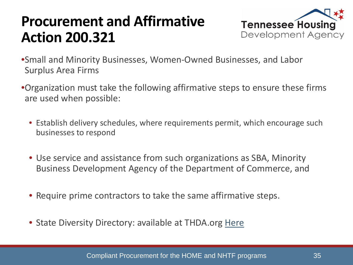### **Procurement and Affirmative Action 200.321**



- •Small and Minority Businesses, Women-Owned Businesses, and Labor Surplus Area Firms
- •Organization must take the following affirmative steps to ensure these firms are used when possible:
	- Establish delivery schedules, where requirements permit, which encourage such businesses to respond
	- Use service and assistance from such organizations as SBA, Minority Business Development Agency of the Department of Commerce, and
	- Require prime contractors to take the same affirmative steps.
	- State Diversity Directory: available at THDA.org [Here](https://tn.diversitysoftware.com/?TN=tn)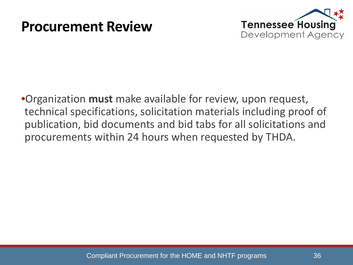### **Procurement Review**



•Organization **must** make available for review, upon request, technical specifications, solicitation materials including proof of publication, bid documents and bid tabs for all solicitations and procurements within 24 hours when requested by THDA.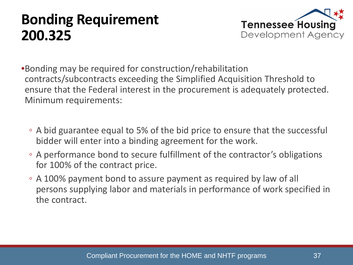### **Bonding Requirement 200.325**



•Bonding may be required for construction/rehabilitation contracts/subcontracts exceeding the Simplified Acquisition Threshold to ensure that the Federal interest in the procurement is adequately protected. Minimum requirements:

- A bid guarantee equal to 5% of the bid price to ensure that the successful bidder will enter into a binding agreement for the work.
- A performance bond to secure fulfillment of the contractor's obligations for 100% of the contract price.
- A 100% payment bond to assure payment as required by law of all persons supplying labor and materials in performance of work specified in the contract.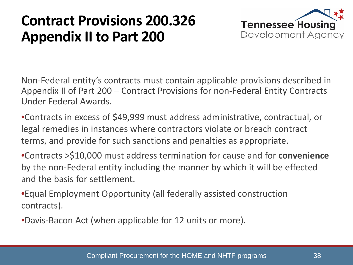### **Contract Provisions 200.326 Appendix II to Part 200**



Non-Federal entity's contracts must contain applicable provisions described in Appendix II of Part 200 – Contract Provisions for non-Federal Entity Contracts Under Federal Awards.

•Contracts in excess of \$49,999 must address administrative, contractual, or legal remedies in instances where contractors violate or breach contract terms, and provide for such sanctions and penalties as appropriate.

•Contracts >\$10,000 must address termination for cause and for **convenience** by the non-Federal entity including the manner by which it will be effected and the basis for settlement.

•Equal Employment Opportunity (all federally assisted construction contracts).

•Davis-Bacon Act (when applicable for 12 units or more).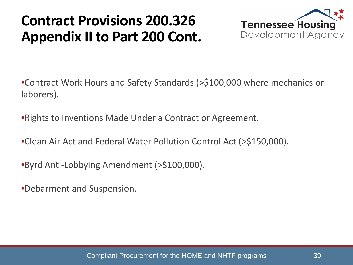### **Contract Provisions 200.326 Appendix II to Part 200 Cont.**



•Contract Work Hours and Safety Standards (>\$100,000 where mechanics or laborers).

•Rights to Inventions Made Under a Contract or Agreement.

•Clean Air Act and Federal Water Pollution Control Act (>\$150,000).

•Byrd Anti-Lobbying Amendment (>\$100,000).

•Debarment and Suspension.